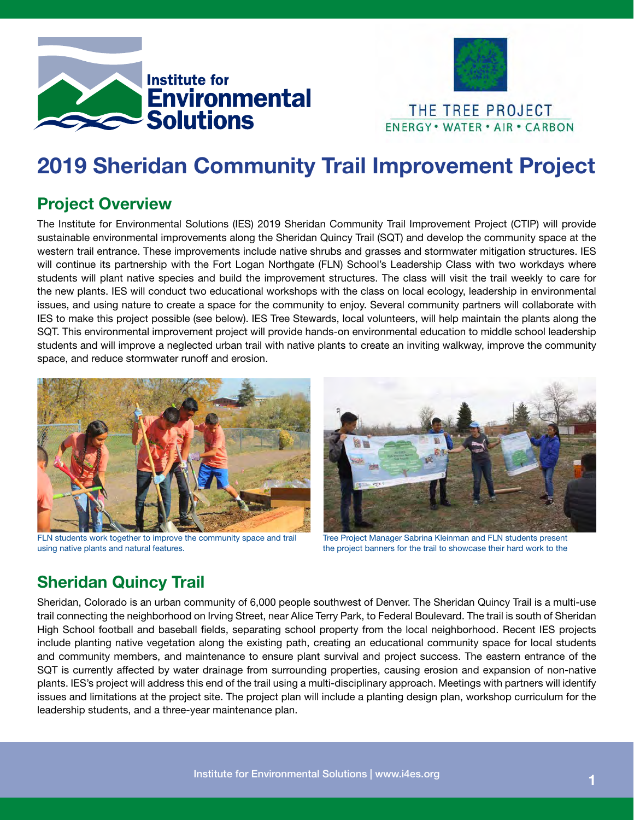



# 2019 Sheridan Community Trail Improvement Project

## Project Overview

The Institute for Environmental Solutions (IES) 2019 Sheridan Community Trail Improvement Project (CTIP) will provide sustainable environmental improvements along the Sheridan Quincy Trail (SQT) and develop the community space at the western trail entrance. These improvements include native shrubs and grasses and stormwater mitigation structures. IES will continue its partnership with the Fort Logan Northgate (FLN) School's Leadership Class with two workdays where students will plant native species and build the improvement structures. The class will visit the trail weekly to care for the new plants. IES will conduct two educational workshops with the class on local ecology, leadership in environmental issues, and using nature to create a space for the community to enjoy. Several community partners will collaborate with IES to make this project possible (see below). IES Tree Stewards, local volunteers, will help maintain the plants along the SQT. This environmental improvement project will provide hands-on environmental education to middle school leadership students and will improve a neglected urban trail with native plants to create an inviting walkway, improve the community space, and reduce stormwater runoff and erosion.



FLN students work together to improve the community space and trail using native plants and natural features.



Tree Project Manager Sabrina Kleinman and FLN students present the project banners for the trail to showcase their hard work to the

## Sheridan Quincy Trail

Sheridan, Colorado is an urban community of 6,000 people southwest of Denver. The Sheridan Quincy Trail is a multi-use trail connecting the neighborhood on Irving Street, near Alice Terry Park, to Federal Boulevard. The trail is south of Sheridan High School football and baseball fields, separating school property from the local neighborhood. Recent IES projects include planting native vegetation along the existing path, creating an educational community space for local students and community members, and maintenance to ensure plant survival and project success. The eastern entrance of the SQT is currently affected by water drainage from surrounding properties, causing erosion and expansion of non-native plants. IES's project will address this end of the trail using a multi-disciplinary approach. Meetings with partners will identify issues and limitations at the project site. The project plan will include a planting design plan, workshop curriculum for the leadership students, and a three-year maintenance plan.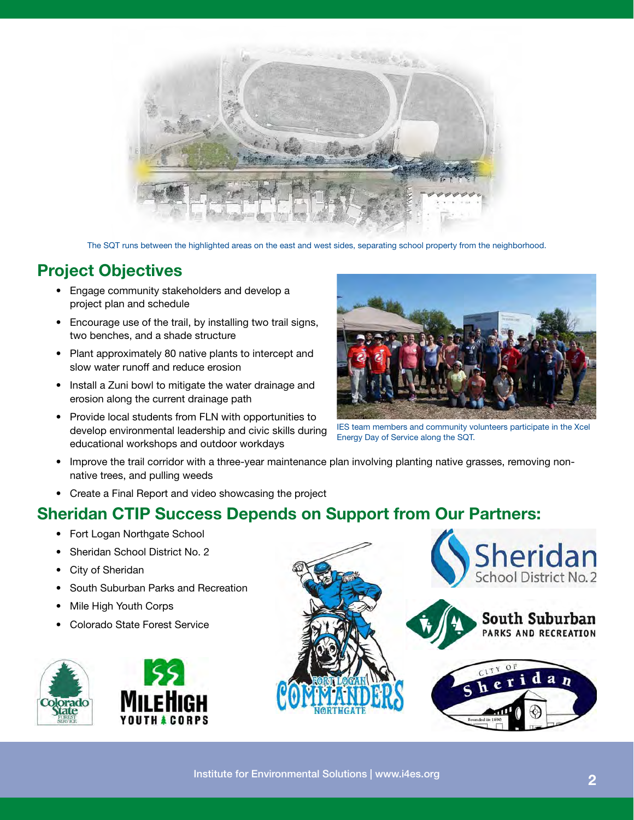

The SQT runs between the highlighted areas on the east and west sides, separating school property from the neighborhood.

#### Project Objectives

- Engage community stakeholders and develop a project plan and schedule
- Encourage use of the trail, by installing two trail signs, two benches, and a shade structure
- Plant approximately 80 native plants to intercept and slow water runoff and reduce erosion
- Install a Zuni bowl to mitigate the water drainage and erosion along the current drainage path
- Provide local students from FLN with opportunities to develop environmental leadership and civic skills during educational workshops and outdoor workdays



IES team members and community volunteers participate in the Xcel Energy Day of Service along the SQT.

- Improve the trail corridor with a three-year maintenance plan involving planting native grasses, removing nonnative trees, and pulling weeds
- Create a Final Report and video showcasing the project

#### Sheridan CTIP Success Depends on Support from Our Partners:

- Fort Logan Northgate School
- Sheridan School District No. 2
- **City of Sheridan**
- South Suburban Parks and Recreation
- Mile High Youth Corps
- Colorado State Forest Service



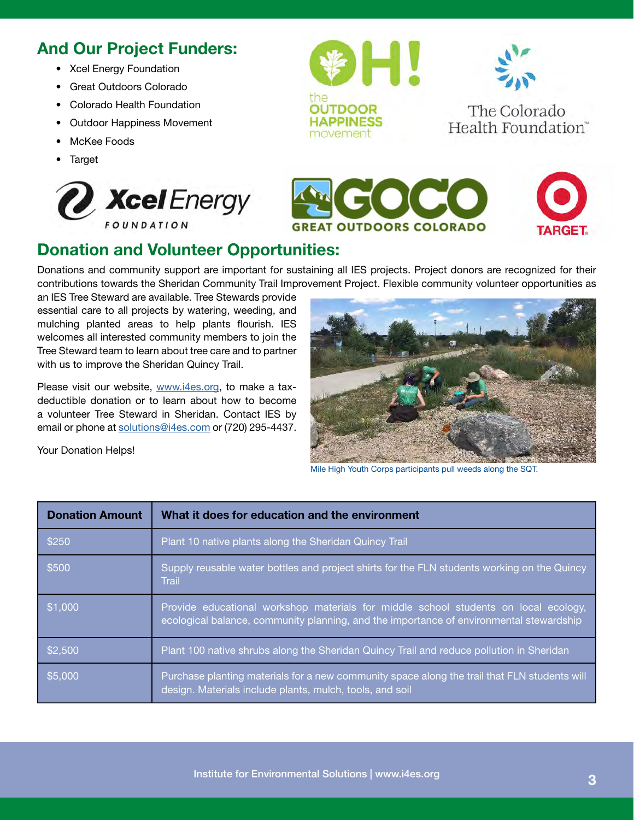## And Our Project Funders:

- Xcel Energy Foundation
- Great Outdoors Colorado
- Colorado Health Foundation
- Outdoor Happiness Movement
- McKee Foods
- **Target**

Your Donation Helps!





The Colorado Health Foundation"





### Donation and Volunteer Opportunities:

Donations and community support are important for sustaining all IES projects. Project donors are recognized for their contributions towards the Sheridan Community Trail Improvement Project. Flexible community volunteer opportunities as

an IES Tree Steward are available. Tree Stewards provide essential care to all projects by watering, weeding, and mulching planted areas to help plants flourish. IES welcomes all interested community members to join the Tree Steward team to learn about tree care and to partner with us to improve the Sheridan Quincy Trail.

Please visit our website, www.i4es.org, to make a taxdeductible donation or to learn about how to become a volunteer Tree Steward in Sheridan. Contact IES by email or phone at solutions@i4es.com or (720) 295-4437.



Mile High Youth Corps participants pull weeds along the SQT.

| <b>Donation Amount</b> | What it does for education and the environment                                                                                                                                 |
|------------------------|--------------------------------------------------------------------------------------------------------------------------------------------------------------------------------|
| \$250                  | Plant 10 native plants along the Sheridan Quincy Trail                                                                                                                         |
| \$500                  | Supply reusable water bottles and project shirts for the FLN students working on the Quincy<br><b>Trail</b>                                                                    |
| \$1,000                | Provide educational workshop materials for middle school students on local ecology,<br>ecological balance, community planning, and the importance of environmental stewardship |
| \$2,500                | Plant 100 native shrubs along the Sheridan Quincy Trail and reduce pollution in Sheridan                                                                                       |
| \$5,000                | Purchase planting materials for a new community space along the trail that FLN students will<br>design. Materials include plants, mulch, tools, and soil                       |